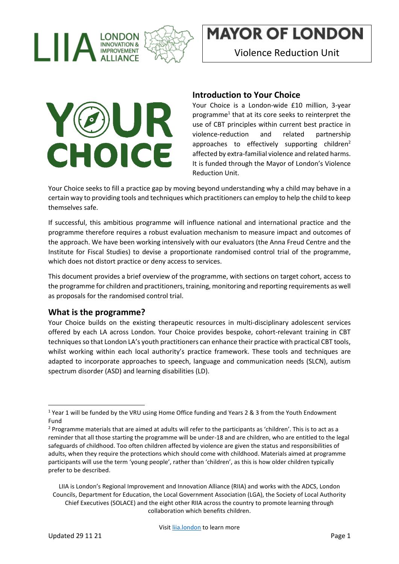

Violence Reduction Unit



#### **Introduction to Your Choice**

Your Choice is a London-wide £10 million, 3-year programme<sup>1</sup> that at its core seeks to reinterpret the use of CBT principles within current best practice in violence-reduction and related partnership approaches to effectively supporting children<sup>2</sup> affected by extra-familial violence and related harms. It is funded through the Mayor of London's Violence Reduction Unit.

Your Choice seeks to fill a practice gap by moving beyond understanding why a child may behave in a certain way to providing tools and techniques which practitioners can employ to help the child to keep themselves safe.

If successful, this ambitious programme will influence national and international practice and the programme therefore requires a robust evaluation mechanism to measure impact and outcomes of the approach. We have been working intensively with our evaluators (the Anna Freud Centre and the Institute for Fiscal Studies) to devise a proportionate randomised control trial of the programme, which does not distort practice or deny access to services.

This document provides a brief overview of the programme, with sections on target cohort, access to the programme for children and practitioners, training, monitoring and reporting requirements as well as proposals for the randomised control trial.

#### **What is the programme?**

Your Choice builds on the existing therapeutic resources in multi-disciplinary adolescent services offered by each LA across London. Your Choice provides bespoke, cohort-relevant training in CBT techniques so that London LA's youth practitioners can enhance their practice with practical CBT tools, whilst working within each local authority's practice framework. These tools and techniques are adapted to incorporate approaches to speech, language and communication needs (SLCN), autism spectrum disorder (ASD) and learning disabilities (LD).

<sup>&</sup>lt;sup>1</sup> Year 1 will be funded by the VRU using Home Office funding and Years 2 & 3 from the Youth Endowment Fund

<sup>&</sup>lt;sup>2</sup> Programme materials that are aimed at adults will refer to the participants as 'children'. This is to act as a reminder that all those starting the programme will be under-18 and are children, who are entitled to the legal safeguards of childhood. Too often children affected by violence are given the status and responsibilities of adults, when they require the protections which should come with childhood. Materials aimed at programme participants will use the term 'young people', rather than 'children', as this is how older children typically prefer to be described.

LIIA is London's Regional Improvement and Innovation Alliance (RIIA) and works with the ADCS, London Councils, Department for Education, the Local Government Association (LGA), the Society of Local Authority Chief Executives (SOLACE) and the eight other RIIA across the country to promote learning through collaboration which benefits children.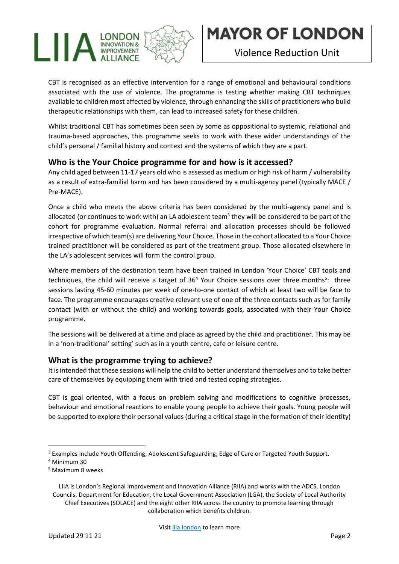

CBT is recognised as an effective intervention for a range of emotional and behavioural conditions associated with the use of violence. The programme is testing whether making CBT techniques available to children most affected by violence, through enhancing the skills of practitioners who build therapeutic relationships with them, can lead to increased safety for these children.

Whilst traditional CBT has sometimes been seen by some as oppositional to systemic, relational and trauma-based approaches, this programme seeks to work with these wider understandings of the child's personal / familial history and context and the systems of which they are a part.

#### **Who is the Your Choice programme for and how is it accessed?**

Any child aged between 11-17 years old who is assessed as medium or high risk of harm / vulnerability as a result of extra-familial harm and has been considered by a multi-agency panel (typically MACE / Pre-MACE).

Once a child who meets the above criteria has been considered by the multi-agency panel and is allocated (or continues to work with) an LA adolescent team<sup>3</sup> they will be considered to be part of the cohort for programme evaluation. Normal referral and allocation processes should be followed irrespective of which team(s) are delivering Your Choice. Those in the cohort allocated to a Your Choice trained practitioner will be considered as part of the treatment group. Those allocated elsewhere in the LA's adolescent services will form the control group.

Where members of the destination team have been trained in London 'Your Choice' CBT tools and techniques, the child will receive a target of 36<sup>4</sup> Your Choice sessions over three months<sup>5</sup>: three sessions lasting 45-60 minutes per week of one-to-one contact of which at least two will be face to face. The programme encourages creative relevant use of one of the three contacts such as for family contact (with or without the child) and working towards goals, associated with their Your Choice programme.

The sessions will be delivered at a time and place as agreed by the child and practitioner. This may be in a 'non-traditional' setting' such as in a youth centre, cafe or leisure centre.

#### **What is the programme trying to achieve?**

It is intended that these sessions will help the child to better understand themselves and to take better care of themselves by equipping them with tried and tested coping strategies.

CBT is goal oriented, with a focus on problem solving and modifications to cognitive processes, behaviour and emotional reactions to enable young people to achieve their goals. Young people will be supported to explore their personal values (during a critical stage in the formation of their identity)

<sup>&</sup>lt;sup>3</sup> Examples include Youth Offending; Adolescent Safeguarding; Edge of Care or Targeted Youth Support.

<sup>4</sup> Minimum 30

<sup>5</sup> Maximum 8 weeks

LIIA is London's Regional Improvement and Innovation Alliance (RIIA) and works with the ADCS, London Councils, Department for Education, the Local Government Association (LGA), the Society of Local Authority Chief Executives (SOLACE) and the eight other RIIA across the country to promote learning through collaboration which benefits children.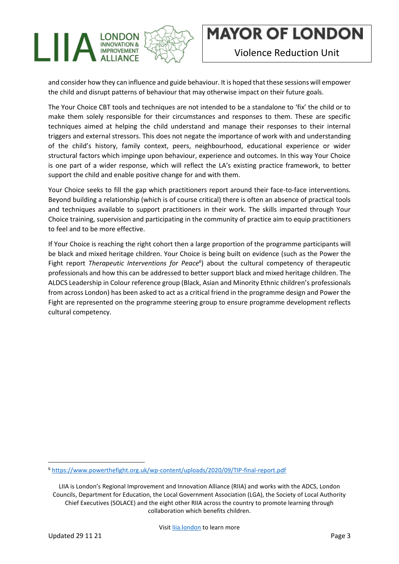

and consider how they can influence and guide behaviour. It is hoped that these sessions will empower the child and disrupt patterns of behaviour that may otherwise impact on their future goals.

The Your Choice CBT tools and techniques are not intended to be a standalone to 'fix' the child or to make them solely responsible for their circumstances and responses to them. These are specific techniques aimed at helping the child understand and manage their responses to their internal triggers and external stressors. This does not negate the importance of work with and understanding of the child's history, family context, peers, neighbourhood, educational experience or wider structural factors which impinge upon behaviour, experience and outcomes. In this way Your Choice is one part of a wider response, which will reflect the LA's existing practice framework, to better support the child and enable positive change for and with them.

Your Choice seeks to fill the gap which practitioners report around their face-to-face interventions. Beyond building a relationship (which is of course critical) there is often an absence of practical tools and techniques available to support practitioners in their work. The skills imparted through Your Choice training, supervision and participating in the community of practice aim to equip practitioners to feel and to be more effective.

If Your Choice is reaching the right cohort then a large proportion of the programme participants will be black and mixed heritage children. Your Choice is being built on evidence (such as the Power the Fight report *Therapeutic Interventions for Peace<sup>6</sup>*) about the cultural competency of therapeutic professionals and how this can be addressed to better support black and mixed heritage children. The ALDCS Leadership in Colour reference group (Black, Asian and Minority Ethnic children's professionals from across London) has been asked to act as a critical friend in the programme design and Power the Fight are represented on the programme steering group to ensure programme development reflects cultural competency.

<sup>6</sup> <https://www.powerthefight.org.uk/wp-content/uploads/2020/09/TIP-final-report.pdf>

LIIA is London's Regional Improvement and Innovation Alliance (RIIA) and works with the ADCS, London Councils, Department for Education, the Local Government Association (LGA), the Society of Local Authority Chief Executives (SOLACE) and the eight other RIIA across the country to promote learning through collaboration which benefits children.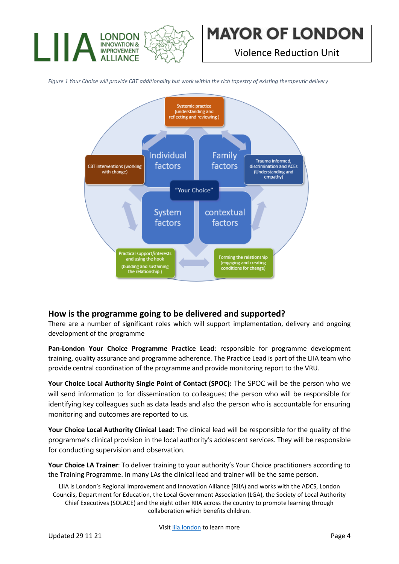

Violence Reduction Unit



*Figure 1 Your Choice will provide CBT additionality but work within the rich tapestry of existing therapeutic delivery*

#### **How is the programme going to be delivered and supported?**

There are a number of significant roles which will support implementation, delivery and ongoing development of the programme

**Pan-London Your Choice Programme Practice Lead**: responsible for programme development training, quality assurance and programme adherence. The Practice Lead is part of the LIIA team who provide central coordination of the programme and provide monitoring report to the VRU.

**Your Choice Local Authority Single Point of Contact (SPOC):** The SPOC will be the person who we will send information to for dissemination to colleagues; the person who will be responsible for identifying key colleagues such as data leads and also the person who is accountable for ensuring monitoring and outcomes are reported to us.

**Your Choice Local Authority Clinical Lead:** The clinical lead will be responsible for the quality of the programme's clinical provision in the local authority's adolescent services. They will be responsible for conducting supervision and observation.

**Your Choice LA Trainer**: To deliver training to your authority's Your Choice practitioners according to the Training Programme. In many LAs the clinical lead and trainer will be the same person.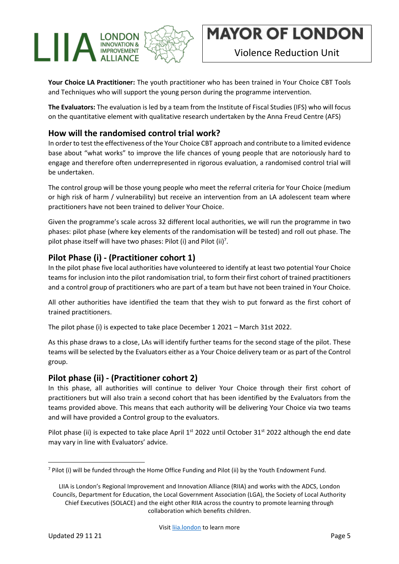

**Your Choice LA Practitioner:** The youth practitioner who has been trained in Your Choice CBT Tools and Techniques who will support the young person during the programme intervention.

**The Evaluators:** The evaluation is led by a team from the Institute of Fiscal Studies (IFS) who will focus on the quantitative element with qualitative research undertaken by the Anna Freud Centre (AFS)

### **How will the randomised control trial work?**

In order to test the effectiveness of the Your Choice CBT approach and contribute to a limited evidence base about "what works" to improve the life chances of young people that are notoriously hard to engage and therefore often underrepresented in rigorous evaluation, a randomised control trial will be undertaken.

The control group will be those young people who meet the referral criteria for Your Choice (medium or high risk of harm / vulnerability) but receive an intervention from an LA adolescent team where practitioners have not been trained to deliver Your Choice.

Given the programme's scale across 32 different local authorities, we will run the programme in two phases: pilot phase (where key elements of the randomisation will be tested) and roll out phase. The pilot phase itself will have two phases: Pilot (i) and Pilot (ii)<sup>7</sup>.

### **Pilot Phase (i) - (Practitioner cohort 1)**

In the pilot phase five local authorities have volunteered to identify at least two potential Your Choice teams for inclusion into the pilot randomisation trial, to form their first cohort of trained practitioners and a control group of practitioners who are part of a team but have not been trained in Your Choice.

All other authorities have identified the team that they wish to put forward as the first cohort of trained practitioners.

The pilot phase (i) is expected to take place December 1 2021 – March 31st 2022.

As this phase draws to a close, LAs will identify further teams for the second stage of the pilot. These teams will be selected by the Evaluators either as a Your Choice delivery team or as part of the Control group.

#### **Pilot phase (ii) - (Practitioner cohort 2)**

In this phase, all authorities will continue to deliver Your Choice through their first cohort of practitioners but will also train a second cohort that has been identified by the Evaluators from the teams provided above. This means that each authority will be delivering Your Choice via two teams and will have provided a Control group to the evaluators.

Pilot phase (ii) is expected to take place April 1<sup>st</sup> 2022 until October 31<sup>st</sup> 2022 although the end date may vary in line with Evaluators' advice.

<sup>7</sup> Pilot (i) will be funded through the Home Office Funding and Pilot (ii) by the Youth Endowment Fund.

LIIA is London's Regional Improvement and Innovation Alliance (RIIA) and works with the ADCS, London Councils, Department for Education, the Local Government Association (LGA), the Society of Local Authority Chief Executives (SOLACE) and the eight other RIIA across the country to promote learning through collaboration which benefits children.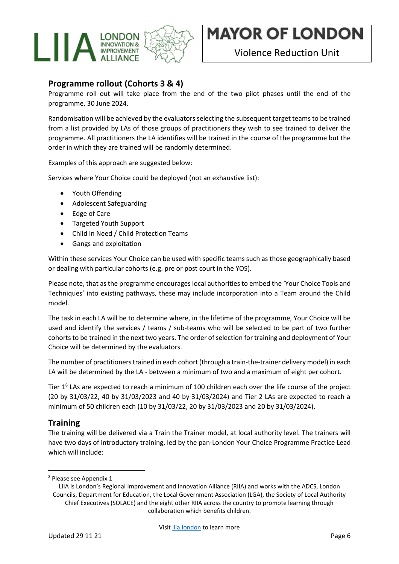

Violence Reduction Unit

### **Programme rollout (Cohorts 3 & 4)**

Programme roll out will take place from the end of the two pilot phases until the end of the programme, 30 June 2024.

Randomisation will be achieved by the evaluators selecting the subsequent target teams to be trained from a list provided by LAs of those groups of practitioners they wish to see trained to deliver the programme. All practitioners the LA identifies will be trained in the course of the programme but the order in which they are trained will be randomly determined.

Examples of this approach are suggested below:

Services where Your Choice could be deployed (not an exhaustive list):

- Youth Offending
- Adolescent Safeguarding
- Edge of Care
- Targeted Youth Support
- Child in Need / Child Protection Teams
- Gangs and exploitation

Within these services Your Choice can be used with specific teams such as those geographically based or dealing with particular cohorts (e.g. pre or post court in the YOS).

Please note, that as the programme encourages local authorities to embed the 'Your Choice Tools and Techniques' into existing pathways, these may include incorporation into a Team around the Child model.

The task in each LA will be to determine where, in the lifetime of the programme, Your Choice will be used and identify the services / teams / sub-teams who will be selected to be part of two further cohorts to be trained in the next two years. The order of selection for training and deployment of Your Choice will be determined by the evaluators.

The number of practitioners trained in each cohort (through a train-the-trainer delivery model) in each LA will be determined by the LA - between a minimum of two and a maximum of eight per cohort.

Tier  $1<sup>8</sup>$  LAs are expected to reach a minimum of 100 children each over the life course of the project (20 by 31/03/22, 40 by 31/03/2023 and 40 by 31/03/2024) and Tier 2 LAs are expected to reach a minimum of 50 children each (10 by 31/03/22, 20 by 31/03/2023 and 20 by 31/03/2024).

#### **Training**

The training will be delivered via a Train the Trainer model, at local authority level. The trainers will have two days of introductory training, led by the pan-London Your Choice Programme Practice Lead which will include:

<sup>8</sup> Please see Appendix 1

LIIA is London's Regional Improvement and Innovation Alliance (RIIA) and works with the ADCS, London Councils, Department for Education, the Local Government Association (LGA), the Society of Local Authority Chief Executives (SOLACE) and the eight other RIIA across the country to promote learning through collaboration which benefits children.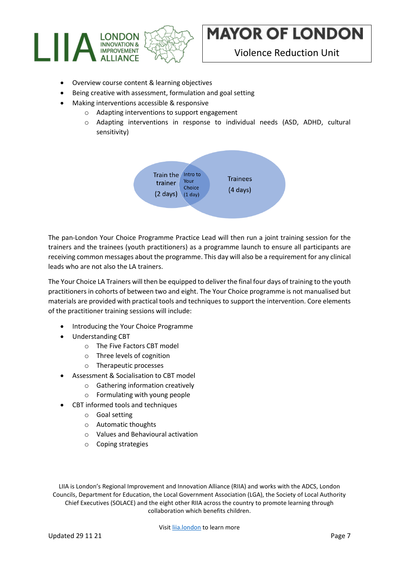

Violence Reduction Unit

- Overview course content & learning objectives
- Being creative with assessment, formulation and goal setting
- Making interventions accessible & responsive
	- o Adapting interventions to support engagement
		- o Adapting interventions in response to individual needs (ASD, ADHD, cultural sensitivity)



The pan-London Your Choice Programme Practice Lead will then run a joint training session for the trainers and the trainees (youth practitioners) as a programme launch to ensure all participants are receiving common messages about the programme. This day will also be a requirement for any clinical leads who are not also the LA trainers.

The Your Choice LA Trainers will then be equipped to deliver the final four days of training to the youth practitioners in cohorts of between two and eight. The Your Choice programme is not manualised but materials are provided with practical tools and techniques to support the intervention. Core elements of the practitioner training sessions will include:

- Introducing the Your Choice Programme
- Understanding CBT
	- o The Five Factors CBT model
	- o Three levels of cognition
	- o Therapeutic processes
- Assessment & Socialisation to CBT model
	- o Gathering information creatively
	- o Formulating with young people
- CBT informed tools and techniques
	- o Goal setting
	- o Automatic thoughts
	- o Values and Behavioural activation
	- o Coping strategies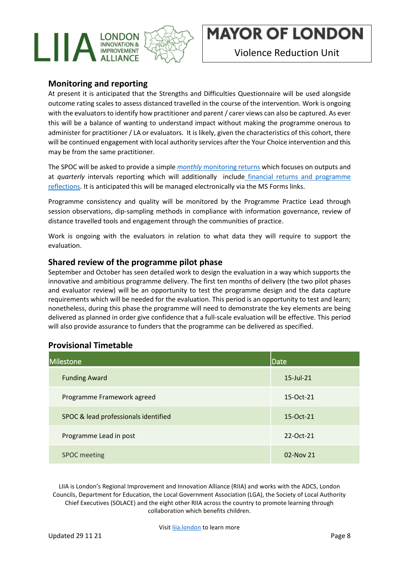

Violence Reduction Unit

#### **Monitoring and reporting**

At present it is anticipated that the Strengths and Difficulties Questionnaire will be used alongside outcome rating scales to assess distanced travelled in the course of the intervention. Work is ongoing with the evaluators to identify how practitioner and parent / carer views can also be captured. As ever this will be a balance of wanting to understand impact without making the programme onerous to administer for practitioner / LA or evaluators. It is likely, given the characteristics of this cohort, there will be continued engagement with local authority services after the Your Choice intervention and this may be from the same practitioner.

The SPOC will be asked to provide a simple *monthly* [monitoring](https://forms.office.com/r/TiPN1Gdn0s) returns which focuses on outputs and at *quarterly* intervals reporting which will additionally include financial returns and [programme](https://forms.office.com/r/2wKWPvLLfe) [reflections.](https://forms.office.com/r/2wKWPvLLfe) It is anticipated this will be managed electronically via the MS Forms links.

Programme consistency and quality will be monitored by the Programme Practice Lead through session observations, dip-sampling methods in compliance with information governance, review of distance travelled tools and engagement through the communities of practice.

Work is ongoing with the evaluators in relation to what data they will require to support the evaluation.

#### **Shared review of the programme pilot phase**

September and October has seen detailed work to design the evaluation in a way which supports the innovative and ambitious programme delivery. The first ten months of delivery (the two pilot phases and evaluator review) will be an opportunity to test the programme design and the data capture requirements which will be needed for the evaluation. This period is an opportunity to test and learn; nonetheless, during this phase the programme will need to demonstrate the key elements are being delivered as planned in order give confidence that a full-scale evaluation will be effective. This period will also provide assurance to funders that the programme can be delivered as specified.

#### **Provisional Timetable**

| <b>Milestone</b>                     | <b>Date</b>     |
|--------------------------------------|-----------------|
| <b>Funding Award</b>                 | $15$ -Jul- $21$ |
| Programme Framework agreed           | 15-Oct-21       |
| SPOC & lead professionals identified | 15-Oct-21       |
| Programme Lead in post               | 22-Oct-21       |
| <b>SPOC</b> meeting                  | $02-Nov$ 21     |